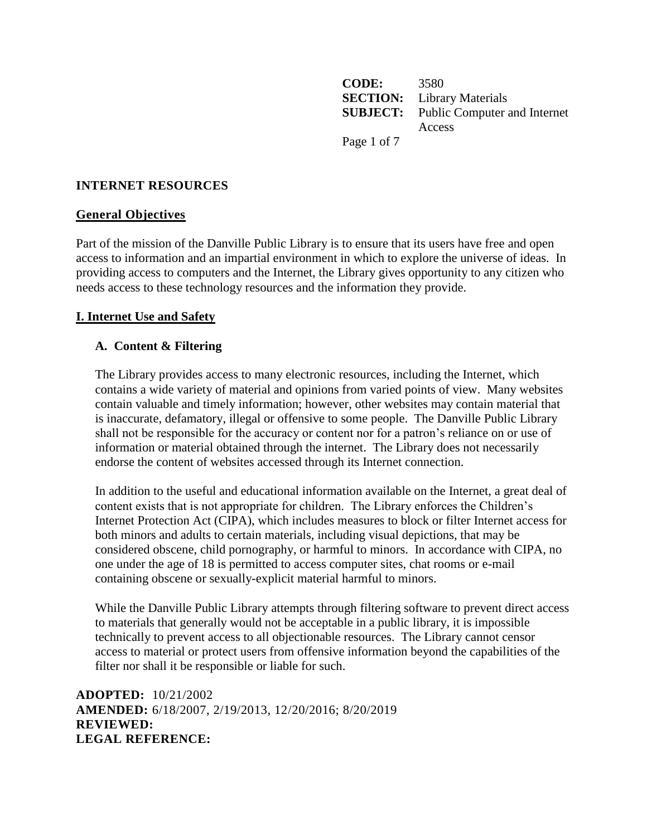**CODE:** 3580 **SECTION:** Library Materials **SUBJECT:** Public Computer and Internet Access Page 1 of 7

## **INTERNET RESOURCES**

#### **General Objectives**

Part of the mission of the Danville Public Library is to ensure that its users have free and open access to information and an impartial environment in which to explore the universe of ideas. In providing access to computers and the Internet, the Library gives opportunity to any citizen who needs access to these technology resources and the information they provide.

### **I. Internet Use and Safety**

#### **A. Content & Filtering**

The Library provides access to many electronic resources, including the Internet, which contains a wide variety of material and opinions from varied points of view. Many websites contain valuable and timely information; however, other websites may contain material that is inaccurate, defamatory, illegal or offensive to some people. The Danville Public Library shall not be responsible for the accuracy or content nor for a patron's reliance on or use of information or material obtained through the internet. The Library does not necessarily endorse the content of websites accessed through its Internet connection.

In addition to the useful and educational information available on the Internet, a great deal of content exists that is not appropriate for children. The Library enforces the Children's Internet Protection Act (CIPA), which includes measures to block or filter Internet access for both minors and adults to certain materials, including visual depictions, that may be considered obscene, child pornography, or harmful to minors. In accordance with CIPA, no one under the age of 18 is permitted to access computer sites, chat rooms or e-mail containing obscene or sexually-explicit material harmful to minors.

While the Danville Public Library attempts through filtering software to prevent direct access to materials that generally would not be acceptable in a public library, it is impossible technically to prevent access to all objectionable resources. The Library cannot censor access to material or protect users from offensive information beyond the capabilities of the filter nor shall it be responsible or liable for such.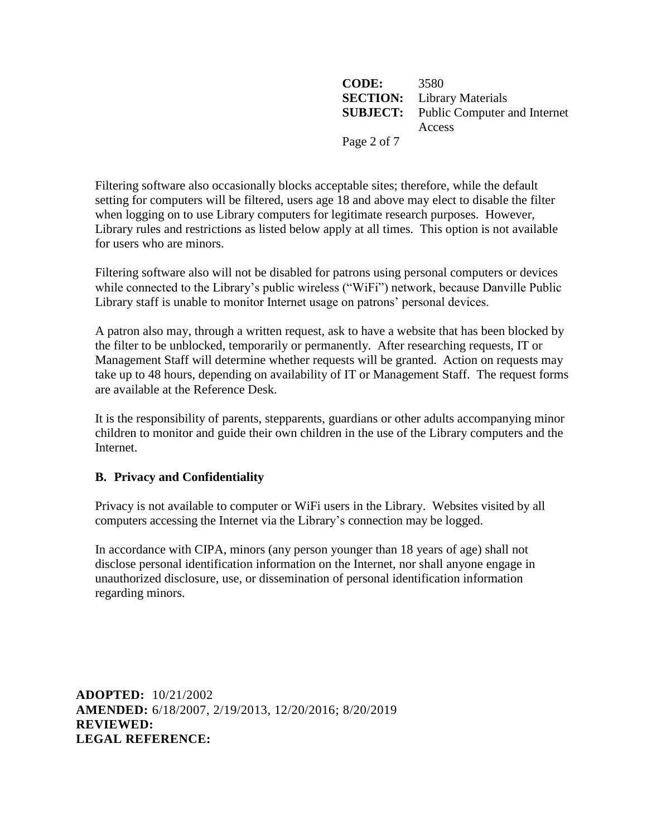**CODE:** 3580 **SECTION:** Library Materials **SUBJECT:** Public Computer and Internet Access Page 2 of 7

Filtering software also occasionally blocks acceptable sites; therefore, while the default setting for computers will be filtered, users age 18 and above may elect to disable the filter when logging on to use Library computers for legitimate research purposes. However, Library rules and restrictions as listed below apply at all times. This option is not available for users who are minors.

Filtering software also will not be disabled for patrons using personal computers or devices while connected to the Library's public wireless ("WiFi") network, because Danville Public Library staff is unable to monitor Internet usage on patrons' personal devices.

A patron also may, through a written request, ask to have a website that has been blocked by the filter to be unblocked, temporarily or permanently. After researching requests, IT or Management Staff will determine whether requests will be granted. Action on requests may take up to 48 hours, depending on availability of IT or Management Staff. The request forms are available at the Reference Desk.

It is the responsibility of parents, stepparents, guardians or other adults accompanying minor children to monitor and guide their own children in the use of the Library computers and the Internet.

# **B. Privacy and Confidentiality**

Privacy is not available to computer or WiFi users in the Library. Websites visited by all computers accessing the Internet via the Library's connection may be logged.

In accordance with CIPA, minors (any person younger than 18 years of age) shall not disclose personal identification information on the Internet, nor shall anyone engage in unauthorized disclosure, use, or dissemination of personal identification information regarding minors.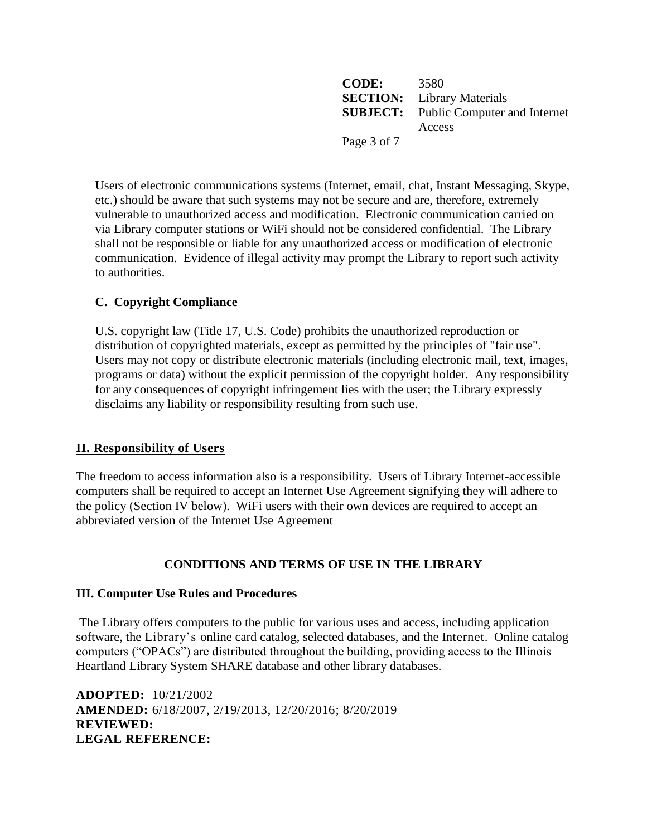**CODE:** 3580 **SECTION:** Library Materials **SUBJECT:** Public Computer and Internet Access Page 3 of 7

Users of electronic communications systems (Internet, email, chat, Instant Messaging, Skype, etc.) should be aware that such systems may not be secure and are, therefore, extremely vulnerable to unauthorized access and modification. Electronic communication carried on via Library computer stations or WiFi should not be considered confidential. The Library shall not be responsible or liable for any unauthorized access or modification of electronic communication. Evidence of illegal activity may prompt the Library to report such activity to authorities.

# **C. Copyright Compliance**

U.S. copyright law (Title 17, U.S. Code) prohibits the unauthorized reproduction or distribution of copyrighted materials, except as permitted by the principles of "fair use". Users may not copy or distribute electronic materials (including electronic mail, text, images, programs or data) without the explicit permission of the copyright holder. Any responsibility for any consequences of copyright infringement lies with the user; the Library expressly disclaims any liability or responsibility resulting from such use.

# **II. Responsibility of Users**

The freedom to access information also is a responsibility. Users of Library Internet-accessible computers shall be required to accept an Internet Use Agreement signifying they will adhere to the policy (Section IV below). WiFi users with their own devices are required to accept an abbreviated version of the Internet Use Agreement

# **CONDITIONS AND TERMS OF USE IN THE LIBRARY**

# **III. Computer Use Rules and Procedures**

The Library offers computers to the public for various uses and access, including application software, the Library's online card catalog, selected databases, and the Internet. Online catalog computers ("OPACs") are distributed throughout the building, providing access to the Illinois Heartland Library System SHARE database and other library databases.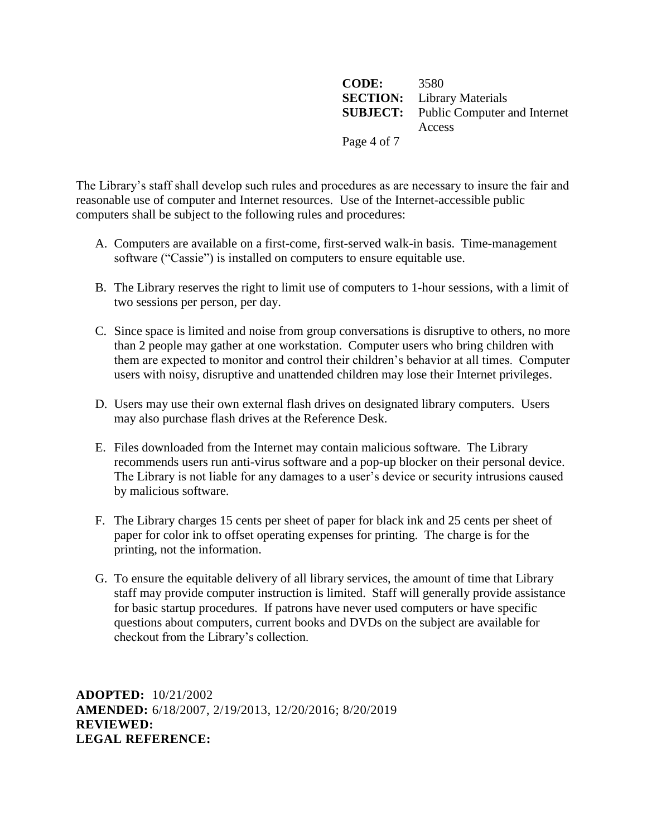**CODE:** 3580 **SECTION:** Library Materials **SUBJECT:** Public Computer and Internet Access Page 4 of 7

The Library's staff shall develop such rules and procedures as are necessary to insure the fair and reasonable use of computer and Internet resources. Use of the Internet-accessible public computers shall be subject to the following rules and procedures:

- A. Computers are available on a first-come, first-served walk-in basis. Time-management software ("Cassie") is installed on computers to ensure equitable use.
- B. The Library reserves the right to limit use of computers to 1-hour sessions, with a limit of two sessions per person, per day.
- C. Since space is limited and noise from group conversations is disruptive to others, no more than 2 people may gather at one workstation. Computer users who bring children with them are expected to monitor and control their children's behavior at all times. Computer users with noisy, disruptive and unattended children may lose their Internet privileges.
- D. Users may use their own external flash drives on designated library computers. Users may also purchase flash drives at the Reference Desk.
- E. Files downloaded from the Internet may contain malicious software. The Library recommends users run anti-virus software and a pop-up blocker on their personal device. The Library is not liable for any damages to a user's device or security intrusions caused by malicious software.
- F. The Library charges 15 cents per sheet of paper for black ink and 25 cents per sheet of paper for color ink to offset operating expenses for printing. The charge is for the printing, not the information.
- G. To ensure the equitable delivery of all library services, the amount of time that Library staff may provide computer instruction is limited. Staff will generally provide assistance for basic startup procedures. If patrons have never used computers or have specific questions about computers, current books and DVDs on the subject are available for checkout from the Library's collection.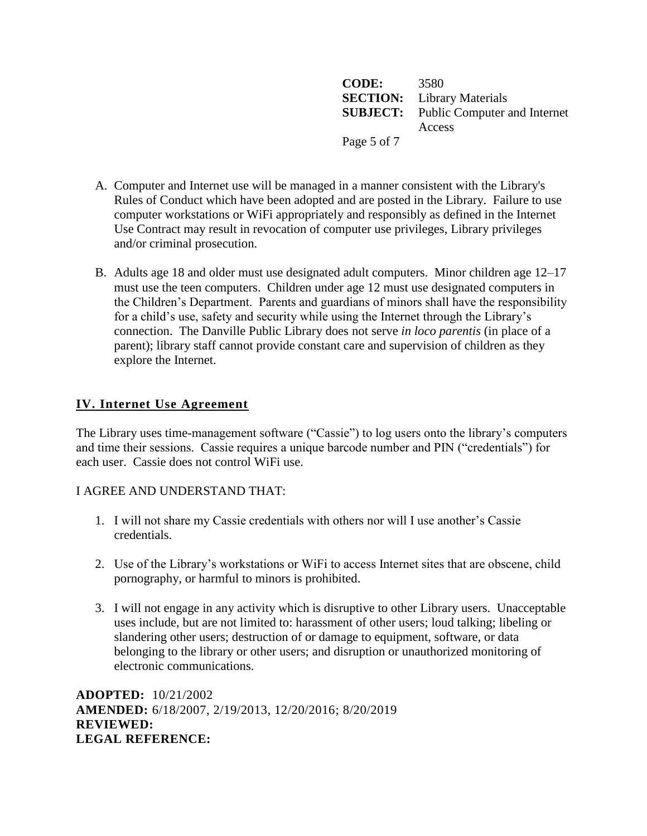**CODE:** 3580 **SECTION:** Library Materials **SUBJECT:** Public Computer and Internet Access Page 5 of 7

- A. Computer and Internet use will be managed in a manner consistent with the Library's Rules of Conduct which have been adopted and are posted in the Library. Failure to use computer workstations or WiFi appropriately and responsibly as defined in the Internet Use Contract may result in revocation of computer use privileges, Library privileges and/or criminal prosecution.
- B. Adults age 18 and older must use designated adult computers. Minor children age 12–17 must use the teen computers. Children under age 12 must use designated computers in the Children's Department. Parents and guardians of minors shall have the responsibility for a child's use, safety and security while using the Internet through the Library's connection. The Danville Public Library does not serve *in loco parentis* (in place of a parent); library staff cannot provide constant care and supervision of children as they explore the Internet.

# **IV. Internet Use Agreement**

The Library uses time-management software ("Cassie") to log users onto the library's computers and time their sessions. Cassie requires a unique barcode number and PIN ("credentials") for each user. Cassie does not control WiFi use.

### I AGREE AND UNDERSTAND THAT:

- 1. I will not share my Cassie credentials with others nor will I use another's Cassie credentials.
- 2. Use of the Library's workstations or WiFi to access Internet sites that are obscene, child pornography, or harmful to minors is prohibited.
- 3. I will not engage in any activity which is disruptive to other Library users. Unacceptable uses include, but are not limited to: harassment of other users; loud talking; libeling or slandering other users; destruction of or damage to equipment, software, or data belonging to the library or other users; and disruption or unauthorized monitoring of electronic communications.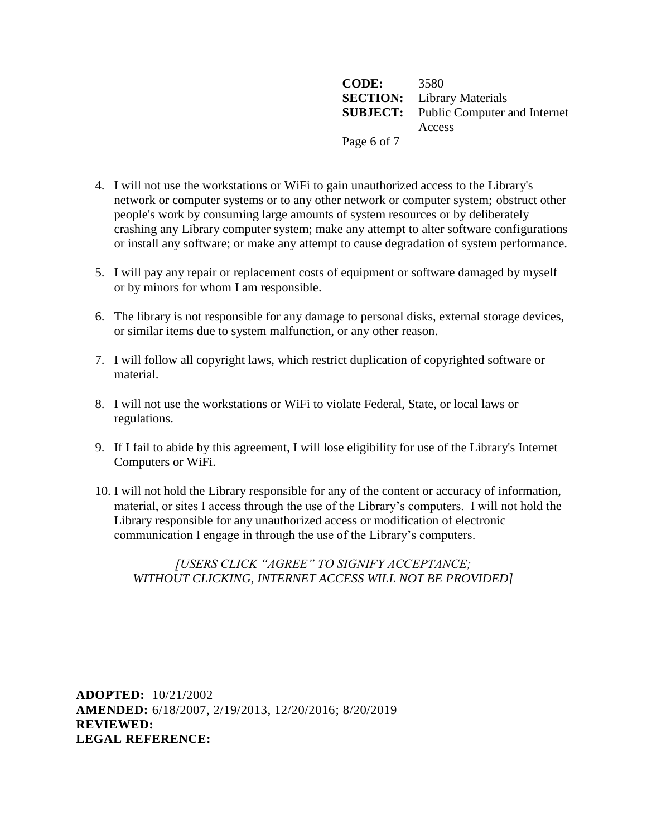**CODE:** 3580 **SECTION:** Library Materials **SUBJECT:** Public Computer and Internet Access Page 6 of 7

- 4. I will not use the workstations or WiFi to gain unauthorized access to the Library's network or computer systems or to any other network or computer system; obstruct other people's work by consuming large amounts of system resources or by deliberately crashing any Library computer system; make any attempt to alter software configurations or install any software; or make any attempt to cause degradation of system performance.
- 5. I will pay any repair or replacement costs of equipment or software damaged by myself or by minors for whom I am responsible.
- 6. The library is not responsible for any damage to personal disks, external storage devices, or similar items due to system malfunction, or any other reason.
- 7. I will follow all copyright laws, which restrict duplication of copyrighted software or material.
- 8. I will not use the workstations or WiFi to violate Federal, State, or local laws or regulations.
- 9. If I fail to abide by this agreement, I will lose eligibility for use of the Library's Internet Computers or WiFi.
- 10. I will not hold the Library responsible for any of the content or accuracy of information, material, or sites I access through the use of the Library's computers. I will not hold the Library responsible for any unauthorized access or modification of electronic communication I engage in through the use of the Library's computers.

## *[USERS CLICK "AGREE" TO SIGNIFY ACCEPTANCE; WITHOUT CLICKING, INTERNET ACCESS WILL NOT BE PROVIDED]*